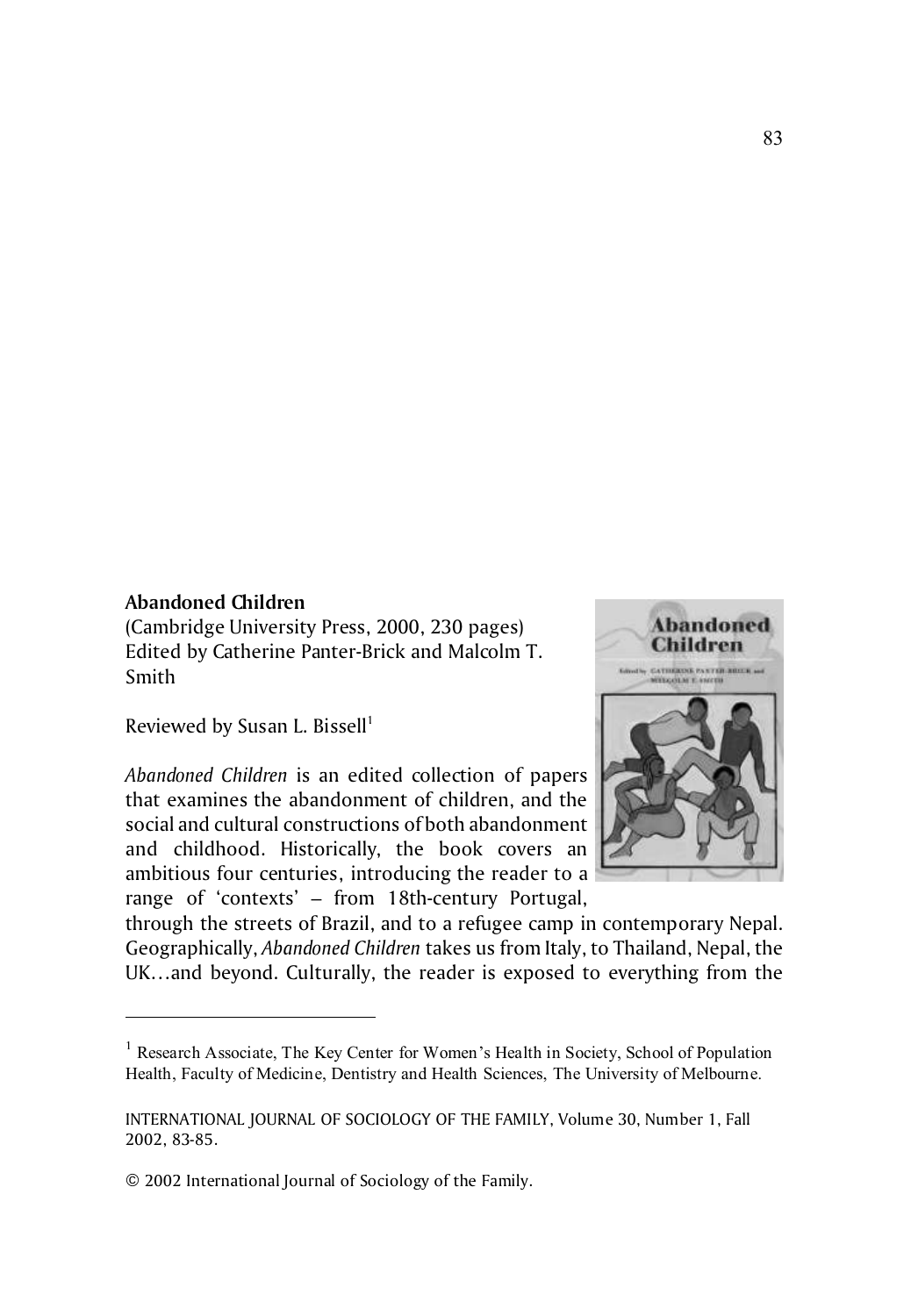## **Abandoned Children**

(Cambridge University Press, 2000, 230 pages) Edited by Catherine Panter-Brick and Malcolm T. Smith

Reviewed by Susan L. Bissell $<sup>1</sup>$ </sup>

*Abandoned Children* is an edited collection of papers that examines the abandonment of children, and the social and cultural constructions of both abandonment and childhood. Historically, the book covers an ambitious four centuries, introducing the reader to a range of 'contexts' – from 18th-century Portugal,



through the streets of Brazil, and to a refugee camp in contemporary Nepal. Geographically, *Abandoned Children* takes us from Italy, to Thailand, Nepal, the UK…and beyond. Culturally, the reader is exposed to everything from the

<sup>&</sup>lt;sup>1</sup> Research Associate, The Key Center for Women's Health in Society, School of Population Health, Faculty of Medicine, Dentistry and Health Sciences, The University of Melbourne.

INTERNATIONAL JOURNAL OF SOCIOLOGY OF THE FAMILY, Volume 30, Number 1, Fall 2002, 83-85.

<sup>© 2002</sup> International Journal of Sociology of the Family.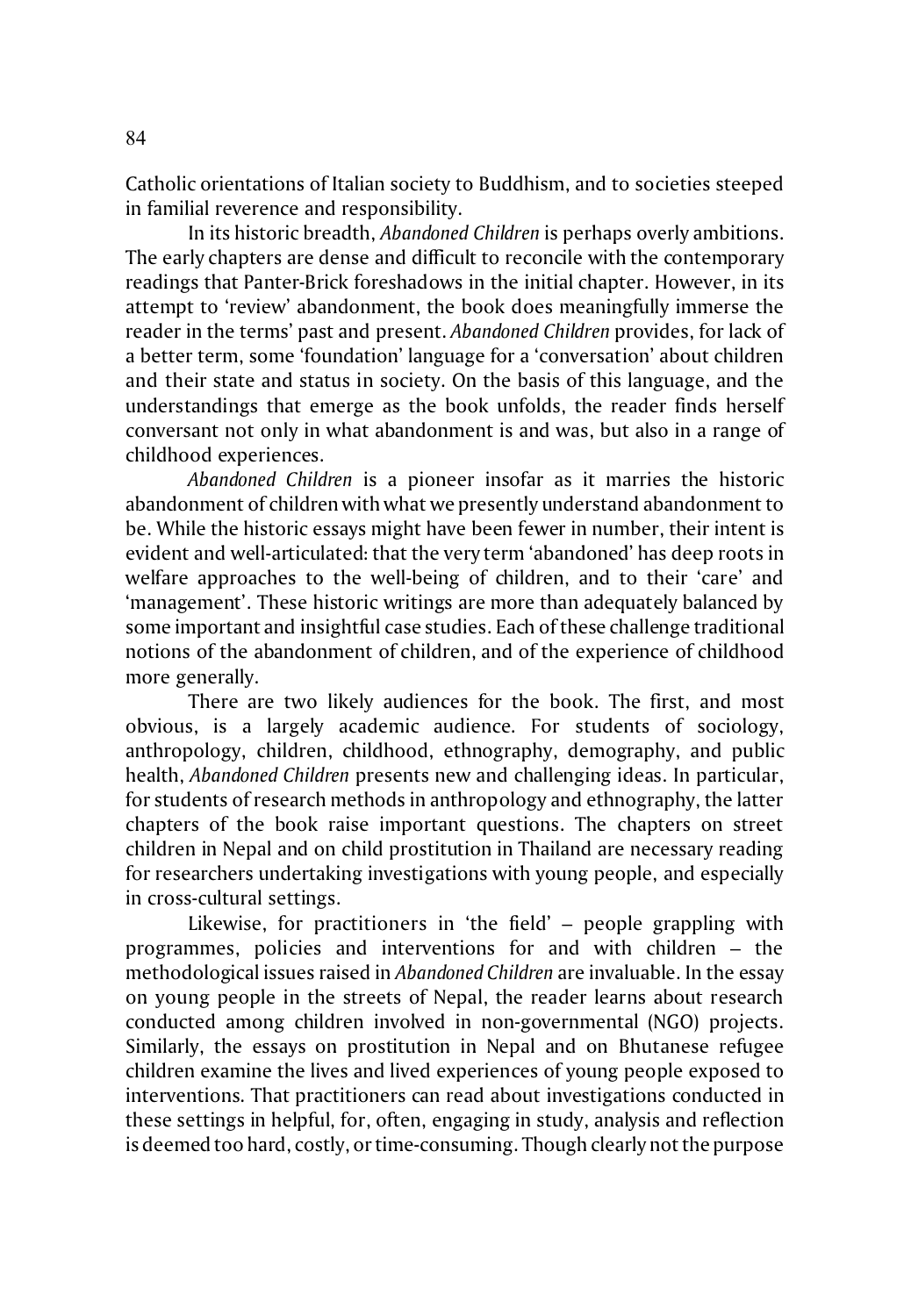Catholic orientations of Italian society to Buddhism, and to societies steeped in familial reverence and responsibility.

In its historic breadth, *Abandoned Children* is perhaps overly ambitions. The early chapters are dense and difficult to reconcile with the contemporary readings that Panter-Brick foreshadows in the initial chapter. However, in its attempt to 'review' abandonment, the book does meaningfully immerse the reader in the terms' past and present. *Abandoned Children* provides, for lack of a better term, some 'foundation' language for a 'conversation' about children and their state and status in society. On the basis of this language, and the understandings that emerge as the book unfolds, the reader finds herself conversant not only in what abandonment is and was, but also in a range of childhood experiences.

*Abandoned Children* is a pioneer insofar as it marries the historic abandonment of children with what we presently understand abandonment to be. While the historic essays might have been fewer in number, their intent is evident and well-articulated: that the very term 'abandoned' has deep roots in welfare approaches to the well-being of children, and to their 'care' and 'management'. These historic writings are more than adequately balanced by some important and insightful case studies. Each of these challenge traditional notions of the abandonment of children, and of the experience of childhood more generally.

There are two likely audiences for the book. The first, and most obvious, is a largely academic audience. For students of sociology, anthropology, children, childhood, ethnography, demography, and public health, *Abandoned Children* presents new and challenging ideas. In particular, for students of research methods in anthropology and ethnography, the latter chapters of the book raise important questions. The chapters on street children in Nepal and on child prostitution in Thailand are necessary reading for researchers undertaking investigations with young people, and especially in cross-cultural settings.

Likewise, for practitioners in 'the field' – people grappling with programmes, policies and interventions for and with children – the methodological issues raised in *Abandoned Children* are invaluable. In the essay on young people in the streets of Nepal, the reader learns about research conducted among children involved in non-governmental (NGO) projects. Similarly, the essays on prostitution in Nepal and on Bhutanese refugee children examine the lives and lived experiences of young people exposed to interventions. That practitioners can read about investigations conducted in these settings in helpful, for, often, engaging in study, analysis and reflection is deemed too hard, costly, or time-consuming. Though clearly not the purpose